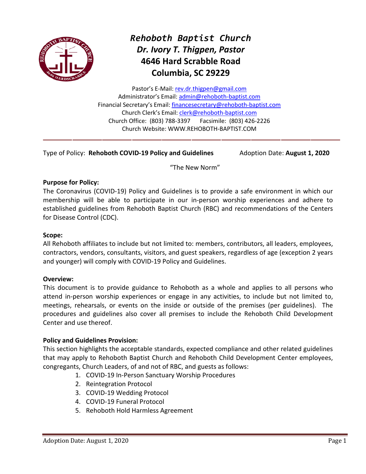

# *Rehoboth Baptist Church Dr. Ivory T. Thigpen, Pastor* **4646 Hard Scrabble Road Columbia, SC 29229**

Pastor's E-Mail: [rev.dr.thigpen@gmail.com](mailto:rev.dr.thigpen@gmail.com) Administrator's Email: [admin@rehoboth-baptist.com](mailto:admin@rehoboth-baptist.com) Financial Secretary's Email: [financesecretary@rehoboth-baptist.com](mailto:financesecretary@rehoboth-baptist.com) Church Clerk's Email: [clerk@rehoboth-baptist.com](mailto:clerk@rehoboth-baptist.com) Church Office: (803) 788-3397 Facsimile: (803) 426-2226 Church Website: WWW.REHOBOTH-BAPTIST.COM

Type of Policy: **Rehoboth COVID-19 Policy and Guidelines** Adoption Date: **August 1, 2020**

"The New Norm"

#### **Purpose for Policy:**

The Coronavirus (COVID-19) Policy and Guidelines is to provide a safe environment in which our membership will be able to participate in our in-person worship experiences and adhere to established guidelines from Rehoboth Baptist Church (RBC) and recommendations of the Centers for Disease Control (CDC).

#### **Scope:**

All Rehoboth affiliates to include but not limited to: members, contributors, all leaders, employees, contractors, vendors, consultants, visitors, and guest speakers, regardless of age (exception 2 years and younger) will comply with COVID-19 Policy and Guidelines.

#### **Overview:**

This document is to provide guidance to Rehoboth as a whole and applies to all persons who attend in-person worship experiences or engage in any activities, to include but not limited to, meetings, rehearsals, or events on the inside or outside of the premises (per guidelines). The procedures and guidelines also cover all premises to include the Rehoboth Child Development Center and use thereof.

#### **Policy and Guidelines Provision:**

This section highlights the acceptable standards, expected compliance and other related guidelines that may apply to Rehoboth Baptist Church and Rehoboth Child Development Center employees, congregants, Church Leaders, of and not of RBC, and guests as follows:

- 1. COVID-19 In-Person Sanctuary Worship Procedures
- 2. Reintegration Protocol
- 3. COVID-19 Wedding Protocol
- 4. COVID-19 Funeral Protocol
- 5. Rehoboth Hold Harmless Agreement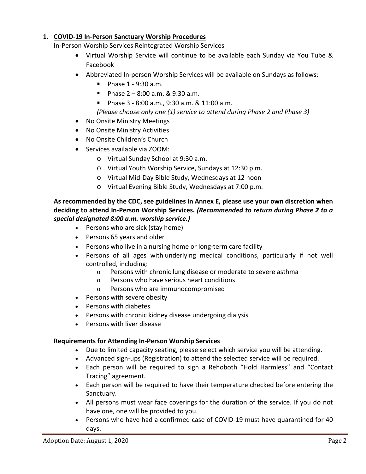### **1. COVID-19 In-Person Sanctuary Worship Procedures**

In-Person Worship Services Reintegrated Worship Services

- Virtual Worship Service will continue to be available each Sunday via You Tube & Facebook
- Abbreviated In-person Worship Services will be available on Sundays as follows:
	- $\blacksquare$  Phase 1 9:30 a.m.
	- Phase  $2 8:00$  a.m. & 9:30 a.m.
	- Phase 3 8:00 a.m., 9:30 a.m. & 11:00 a.m.
	- *(Please choose only one (1) service to attend during Phase 2 and Phase 3)*
- No Onsite Ministry Meetings
- No Onsite Ministry Activities
- No Onsite Children's Church
- Services available via ZOOM:
	- o Virtual Sunday School at 9:30 a.m.
	- o Virtual Youth Worship Service, Sundays at 12:30 p.m.
	- o Virtual Mid-Day Bible Study, Wednesdays at 12 noon
	- o Virtual Evening Bible Study, Wednesdays at 7:00 p.m.

#### **As recommended by the CDC, see guidelines in Annex E, please use your own discretion when deciding to attend In-Person Worship Services.** *(Recommended to return during Phase 2 to a special designated 8:00 a.m. worship service.)*

- Persons who are sick (stay home)
- [Persons 65 years and older](https://www.cdc.gov/coronavirus/2019-ncov/need-extra-precautions/older-adults.html)
- Persons who live in a nursing home or long-term care facility
- Persons of all ages with [underlying medical conditions, particularly if not well](https://www.cdc.gov/coronavirus/2019-ncov/need-extra-precautions/groups-at-higher-risk.html)  [controlled,](https://www.cdc.gov/coronavirus/2019-ncov/need-extra-precautions/groups-at-higher-risk.html) including:
	- o Persons with chronic lung disease or moderate to severe asthma
	- o Persons who have serious heart conditions
	- Persons who are immunocompromised
- Persons with severe obesity
- Persons with diabetes
- Persons with chronic kidney disease undergoing dialysis
- Persons with liver disease

# **Requirements for Attending In-Person Worship Services**

- Due to limited capacity seating, please select which service you will be attending.
- Advanced sign-ups (Registration) to attend the selected service will be required.
- Each person will be required to sign a Rehoboth "Hold Harmless" and "Contact Tracing" agreement.
- Each person will be required to have their temperature checked before entering the Sanctuary.
- All persons must wear face coverings for the duration of the service. If you do not have one, one will be provided to you.
- Persons who have had a confirmed case of COVID-19 must have quarantined for 40 days.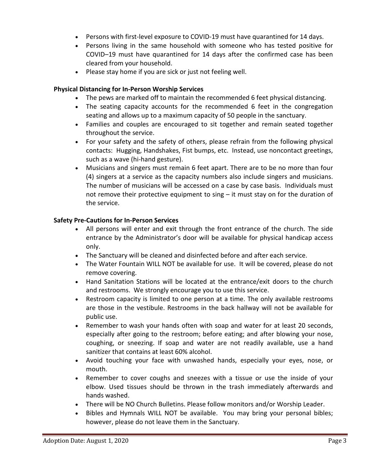- Persons with first-level exposure to COVID-19 must have quarantined for 14 days.
- Persons living in the same household with someone who has tested positive for COVID–19 must have quarantined for 14 days after the confirmed case has been cleared from your household.
- Please stay home if you are sick or just not feeling well.

#### **Physical Distancing for In-Person Worship Services**

- The pews are marked off to maintain the recommended 6 feet physical distancing.
- The seating capacity accounts for the recommended 6 feet in the congregation seating and allows up to a maximum capacity of 50 people in the sanctuary.
- Families and couples are encouraged to sit together and remain seated together throughout the service.
- For your safety and the safety of others, please refrain from the following physical contacts: Hugging, Handshakes, Fist bumps, etc. Instead, use noncontact greetings, such as a wave (hi-hand gesture).
- Musicians and singers must remain 6 feet apart. There are to be no more than four (4) singers at a service as the capacity numbers also include singers and musicians. The number of musicians will be accessed on a case by case basis. Individuals must not remove their protective equipment to sing – it must stay on for the duration of the service.

# **Safety Pre-Cautions for In-Person Services**

- All persons will enter and exit through the front entrance of the church. The side entrance by the Administrator's door will be available for physical handicap access only.
- The Sanctuary will be cleaned and disinfected before and after each service.
- The Water Fountain WILL NOT be available for use. It will be covered, please do not remove covering.
- Hand Sanitation Stations will be located at the entrance/exit doors to the church and restrooms. We strongly encourage you to use this service.
- Restroom capacity is limited to one person at a time. The only available restrooms are those in the vestibule. Restrooms in the back hallway will not be available for public use.
- Remember to wash your hands often with soap and water for at least 20 seconds, especially after going to the restroom; before eating; and after blowing your nose, coughing, or sneezing. If soap and water are not readily available, use a hand sanitizer that contains at least 60% alcohol.
- Avoid touching your face with unwashed hands, especially your eyes, nose, or mouth.
- Remember to cover coughs and sneezes with a tissue or use the inside of your elbow. Used tissues should be thrown in the trash immediately afterwards and hands washed.
- There will be NO Church Bulletins. Please follow monitors and/or Worship Leader.
- Bibles and Hymnals WILL NOT be available. You may bring your personal bibles; however, please do not leave them in the Sanctuary.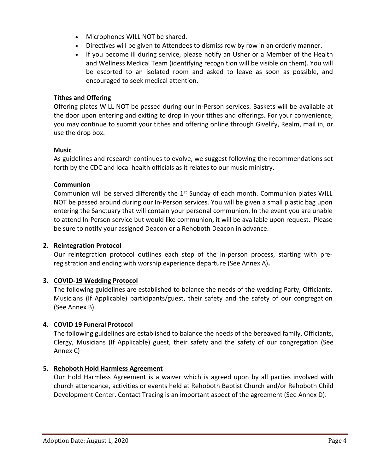- Microphones WILL NOT be shared.
- Directives will be given to Attendees to dismiss row by row in an orderly manner.
- If you become ill during service, please notify an Usher or a Member of the Health and Wellness Medical Team (identifying recognition will be visible on them). You will be escorted to an isolated room and asked to leave as soon as possible, and encouraged to seek medical attention.

### **Tithes and Offering**

Offering plates WILL NOT be passed during our In-Person services. Baskets will be available at the door upon entering and exiting to drop in your tithes and offerings. For your convenience, you may continue to submit your tithes and offering online through Givelify, Realm, mail in, or use the drop box.

#### **Music**

As guidelines and research continues to evolve, we suggest following the recommendations set forth by the CDC and local health officials as it relates to our music ministry.

# **Communion**

Communion will be served differently the  $1<sup>st</sup>$  Sunday of each month. Communion plates WILL NOT be passed around during our In-Person services. You will be given a small plastic bag upon entering the Sanctuary that will contain your personal communion. In the event you are unable to attend In-Person service but would like communion, it will be available upon request. Please be sure to notify your assigned Deacon or a Rehoboth Deacon in advance.

# **2. Reintegration Protocol**

Our reintegration protocol outlines each step of the in-person process, starting with preregistration and ending with worship experience departure (See Annex A)**.**

# **3. COVID-19 Wedding Protocol**

The following guidelines are established to balance the needs of the wedding Party, Officiants, Musicians (If Applicable) participants/guest, their safety and the safety of our congregation (See Annex B)

# **4. COVID 19 Funeral Protocol**

The following guidelines are established to balance the needs of the bereaved family, Officiants, Clergy, Musicians (If Applicable) guest, their safety and the safety of our congregation (See Annex C)

#### **5. Rehoboth Hold Harmless Agreement**

Our Hold Harmless Agreement is a waiver which is agreed upon by all parties involved with church attendance, activities or events held at Rehoboth Baptist Church and/or Rehoboth Child Development Center. Contact Tracing is an important aspect of the agreement (See Annex D).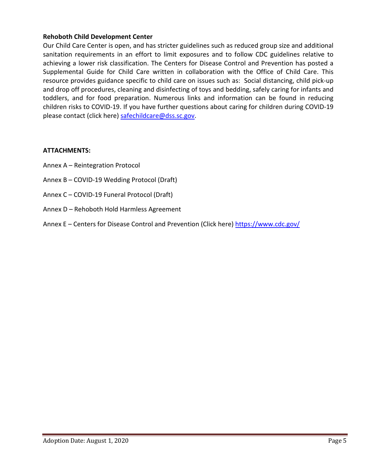#### **Rehoboth Child Development Center**

Our Child Care Center is open, and has stricter guidelines such as reduced group size and additional sanitation requirements in an effort to limit exposures and to follow CDC guidelines relative to achieving a lower risk classification. The Centers for Disease Control and Prevention has posted a Supplemental Guide for Child Care written in collaboration with the Office of Child Care. This resource provides guidance specific to child care on issues such as: Social distancing, child pick-up and drop off procedures, cleaning and disinfecting of toys and bedding, safely caring for infants and toddlers, and for food preparation. Numerous links and information can be found in reducing children risks to COVID-19. If you have further questions about caring for children during COVID-19 please contact (click here) [safechildcare@dss.sc.gov.](mailto:safechildcare@dss.sc.gov)

#### **ATTACHMENTS:**

- Annex A Reintegration Protocol
- Annex B COVID-19 Wedding Protocol (Draft)
- Annex C COVID-19 Funeral Protocol (Draft)
- Annex D Rehoboth Hold Harmless Agreement
- Annex E Centers for Disease Control and Prevention (Click here)<https://www.cdc.gov/>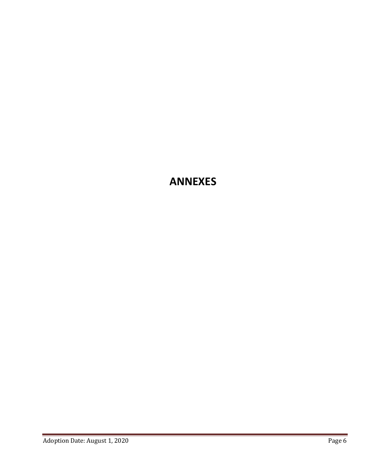# **ANNEXES**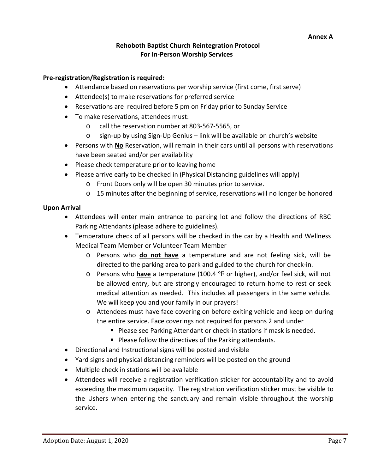#### **Rehoboth Baptist Church Reintegration Protocol For In-Person Worship Services**

#### **Pre-registration/Registration is required:**

- Attendance based on reservations per worship service (first come, first serve)
- Attendee(s) to make reservations for preferred service
- Reservations are required before 5 pm on Friday prior to Sunday Service
- To make reservations, attendees must:
	- o call the reservation number at 803-567-5565, or
	- o sign-up by using Sign-Up Genius link will be available on church's website
- Persons with **No** Reservation, will remain in their cars until all persons with reservations have been seated and/or per availability
- Please check temperature prior to leaving home
- Please arrive early to be checked in (Physical Distancing guidelines will apply)
	- o Front Doors only will be open 30 minutes prior to service.
	- o 15 minutes after the beginning of service, reservations will no longer be honored

#### **Upon Arrival**

- Attendees will enter main entrance to parking lot and follow the directions of RBC Parking Attendants (please adhere to guidelines).
- Temperature check of all persons will be checked in the car by a Health and Wellness Medical Team Member or Volunteer Team Member
	- o Persons who **do not have** a temperature and are not feeling sick, will be directed to the parking area to park and guided to the church for check-in.
	- o Persons who **have** a temperature (100.4 ℉ or higher), and/or feel sick, will not be allowed entry, but are strongly encouraged to return home to rest or seek medical attention as needed. This includes all passengers in the same vehicle. We will keep you and your family in our prayers!
	- o Attendees must have face covering on before exiting vehicle and keep on during the entire service. Face coverings not required for persons 2 and under
		- **Please see Parking Attendant or check-in stations if mask is needed.**
		- **Please follow the directives of the Parking attendants.**
- Directional and Instructional signs will be posted and visible
- Yard signs and physical distancing reminders will be posted on the ground
- Multiple check in stations will be available
- Attendees will receive a registration verification sticker for accountability and to avoid exceeding the maximum capacity. The registration verification sticker must be visible to the Ushers when entering the sanctuary and remain visible throughout the worship service.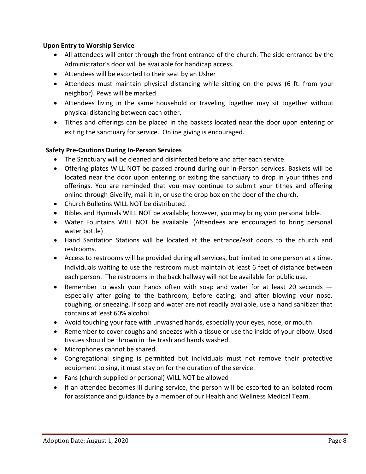#### **Upon Entry to Worship Service**

- All attendees will enter through the front entrance of the church. The side entrance by the Administrator's door will be available for handicap access.
- Attendees will be escorted to their seat by an Usher
- Attendees must maintain physical distancing while sitting on the pews (6 ft. from your neighbor). Pews will be marked.
- Attendees living in the same household or traveling together may sit together without physical distancing between each other.
- Tithes and offerings can be placed in the baskets located near the door upon entering or exiting the sanctuary for service. Online giving is encouraged.

#### **Safety Pre-Cautions During In-Person Services**

- The Sanctuary will be cleaned and disinfected before and after each service.
- Offering plates WILL NOT be passed around during our In-Person services. Baskets will be located near the door upon entering or exiting the sanctuary to drop in your tithes and offerings. You are reminded that you may continue to submit your tithes and offering online through Givelify, mail it in, or use the drop box on the door of the church.
- Church Bulletins WILL NOT be distributed.
- Bibles and Hymnals WILL NOT be available; however, you may bring your personal bible.
- Water Fountains WILL NOT be available. (Attendees are encouraged to bring personal water bottle)
- Hand Sanitation Stations will be located at the entrance/exit doors to the church and restrooms.
- Access to restrooms will be provided during all services, but limited to one person at a time. Individuals waiting to use the restroom must maintain at least 6 feet of distance between each person. The restrooms in the back hallway will not be available for public use.
- Remember to wash your hands often with soap and water for at least 20 seconds ― especially after going to the bathroom; before eating; and after blowing your nose, coughing, or sneezing. If soap and water are not readily available, use a hand sanitizer that contains at least 60% alcohol.
- Avoid touching your face with unwashed hands, especially your eyes, nose, or mouth.
- Remember to cover coughs and sneezes with a tissue or use the inside of your elbow. Used tissues should be thrown in the trash and hands washed.
- Microphones cannot be shared.
- Congregational singing is permitted but individuals must not remove their protective equipment to sing, it must stay on for the duration of the service.
- Fans (church supplied or personal) WILL NOT be allowed
- If an attendee becomes ill during service, the person will be escorted to an isolated room for assistance and guidance by a member of our Health and Wellness Medical Team.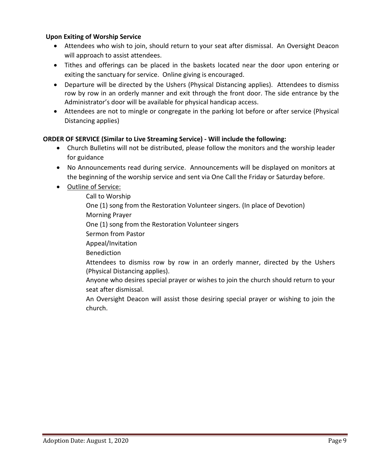#### **Upon Exiting of Worship Service**

- Attendees who wish to join, should return to your seat after dismissal. An Oversight Deacon will approach to assist attendees.
- Tithes and offerings can be placed in the baskets located near the door upon entering or exiting the sanctuary for service. Online giving is encouraged.
- Departure will be directed by the Ushers (Physical Distancing applies). Attendees to dismiss row by row in an orderly manner and exit through the front door. The side entrance by the Administrator's door will be available for physical handicap access.
- Attendees are not to mingle or congregate in the parking lot before or after service (Physical Distancing applies)

# **ORDER OF SERVICE (Similar to Live Streaming Service) - Will include the following:**

- Church Bulletins will not be distributed, please follow the monitors and the worship leader for guidance
- No Announcements read during service. Announcements will be displayed on monitors at the beginning of the worship service and sent via One Call the Friday or Saturday before.
- Outline of Service:

Call to Worship One (1) song from the Restoration Volunteer singers. (In place of Devotion) Morning Prayer One (1) song from the Restoration Volunteer singers Sermon from Pastor Appeal/Invitation Benediction Attendees to dismiss row by row in an orderly manner, directed by the Ushers (Physical Distancing applies). Anyone who desires special prayer or wishes to join the church should return to your seat after dismissal.

An Oversight Deacon will assist those desiring special prayer or wishing to join the church.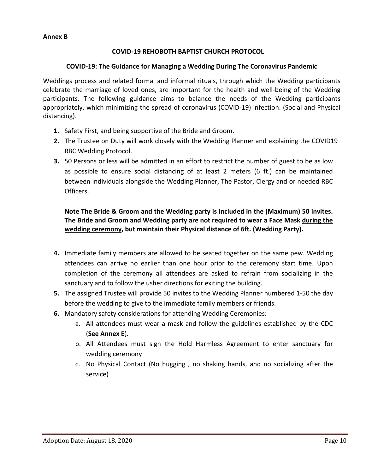### **COVID-19 REHOBOTH BAPTIST CHURCH PROTOCOL**

#### **COVID-19: The Guidance for Managing a Wedding During The Coronavirus Pandemic**

Weddings process and related formal and informal rituals, through which the Wedding participants celebrate the marriage of loved ones, are important for the health and well-being of the Wedding participants. The following guidance aims to balance the needs of the Wedding participants appropriately, which minimizing the spread of coronavirus (COVID-19) infection. (Social and Physical distancing).

- **1.** Safety First, and being supportive of the Bride and Groom.
- **2.** The Trustee on Duty will work closely with the Wedding Planner and explaining the COVID19 RBC Wedding Protocol.
- **3.** 50 Persons or less will be admitted in an effort to restrict the number of guest to be as low as possible to ensure social distancing of at least 2 meters (6 ft.) can be maintained between individuals alongside the Wedding Planner, The Pastor, Clergy and or needed RBC Officers.

**Note The Bride & Groom and the Wedding party is included in the (Maximum) 50 invites. The Bride and Groom and Wedding party are not required to wear a Face Mask during the wedding ceremony, but maintain their Physical distance of 6ft. (Wedding Party).**

- **4.** Immediate family members are allowed to be seated together on the same pew. Wedding attendees can arrive no earlier than one hour prior to the ceremony start time. Upon completion of the ceremony all attendees are asked to refrain from socializing in the sanctuary and to follow the usher directions for exiting the building.
- **5.** The assigned Trustee will provide 50 invites to the Wedding Planner numbered 1-50 the day before the wedding to give to the immediate family members or friends.
- **6.** Mandatory safety considerations for attending Wedding Ceremonies:
	- a. All attendees must wear a mask and follow the guidelines established by the CDC (**See Annex E**).
	- b. All Attendees must sign the Hold Harmless Agreement to enter sanctuary for wedding ceremony
	- c. No Physical Contact (No hugging , no shaking hands, and no socializing after the service)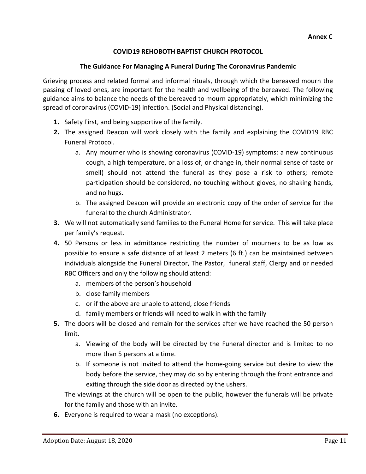# **COVID19 REHOBOTH BAPTIST CHURCH PROTOCOL**

#### **The Guidance For Managing A Funeral During The Coronavirus Pandemic**

Grieving process and related formal and informal rituals, through which the bereaved mourn the passing of loved ones, are important for the health and wellbeing of the bereaved. The following guidance aims to balance the needs of the bereaved to mourn appropriately, which minimizing the spread of coronavirus (COVID-19) infection. (Social and Physical distancing).

- **1.** Safety First, and being supportive of the family.
- **2.** The assigned Deacon will work closely with the family and explaining the COVID19 RBC Funeral Protocol.
	- a. Any mourner who is showing coronavirus (COVID-19) symptoms: a new continuous cough, a high temperature, or a loss of, or change in, their normal sense of taste or smell) should not attend the funeral as they pose a risk to others; remote participation should be considered, no touching without gloves, no shaking hands, and no hugs.
	- b. The assigned Deacon will provide an electronic copy of the order of service for the funeral to the church Administrator.
- **3.** We will not automatically send families to the Funeral Home for service. This will take place per family's request.
- **4.** 50 Persons or less in admittance restricting the number of mourners to be as low as possible to ensure a safe distance of at least 2 meters (6 ft.) can be maintained between individuals alongside the Funeral Director, The Pastor, funeral staff, Clergy and or needed RBC Officers and only the following should attend:
	- a. members of the person's household
	- b. close family members
	- c. or if the above are unable to attend, close friends
	- d. family members or friends will need to walk in with the family
- **5.** The doors will be closed and remain for the services after we have reached the 50 person limit.
	- a. Viewing of the body will be directed by the Funeral director and is limited to no more than 5 persons at a time.
	- b. If someone is not invited to attend the home-going service but desire to view the body before the service, they may do so by entering through the front entrance and exiting through the side door as directed by the ushers.

The viewings at the church will be open to the public, however the funerals will be private for the family and those with an invite.

**6.** Everyone is required to wear a mask (no exceptions).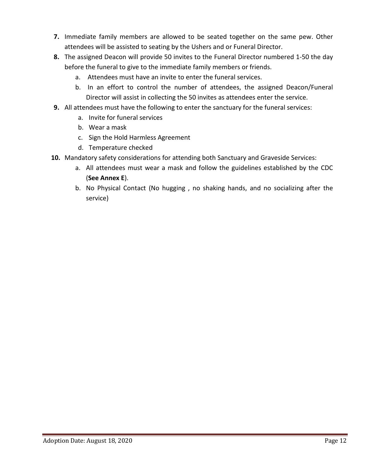- **7.** Immediate family members are allowed to be seated together on the same pew. Other attendees will be assisted to seating by the Ushers and or Funeral Director.
- **8.** The assigned Deacon will provide 50 invites to the Funeral Director numbered 1-50 the day before the funeral to give to the immediate family members or friends.
	- a. Attendees must have an invite to enter the funeral services.
	- b. In an effort to control the number of attendees, the assigned Deacon/Funeral Director will assist in collecting the 50 invites as attendees enter the service.
- **9.** All attendees must have the following to enter the sanctuary for the funeral services:
	- a. Invite for funeral services
	- b. Wear a mask
	- c. Sign the Hold Harmless Agreement
	- d. Temperature checked
- **10.** Mandatory safety considerations for attending both Sanctuary and Graveside Services:
	- a. All attendees must wear a mask and follow the guidelines established by the CDC (**See Annex E**).
	- b. No Physical Contact (No hugging , no shaking hands, and no socializing after the service)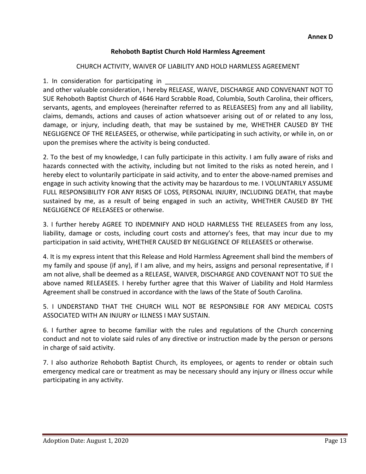# **Rehoboth Baptist Church Hold Harmless Agreement**

#### CHURCH ACTIVITY, WAIVER OF LIABILITY AND HOLD HARMLESS AGREEMENT

1. In consideration for participating in

and other valuable consideration, I hereby RELEASE, WAIVE, DISCHARGE AND CONVENANT NOT TO SUE Rehoboth Baptist Church of 4646 Hard Scrabble Road, Columbia, South Carolina, their officers, servants, agents, and employees (hereinafter referred to as RELEASEES) from any and all liability, claims, demands, actions and causes of action whatsoever arising out of or related to any loss, damage, or injury, including death, that may be sustained by me, WHETHER CAUSED BY THE NEGLIGENCE OF THE RELEASEES, or otherwise, while participating in such activity, or while in, on or upon the premises where the activity is being conducted.

2. To the best of my knowledge, I can fully participate in this activity. I am fully aware of risks and hazards connected with the activity, including but not limited to the risks as noted herein, and I hereby elect to voluntarily participate in said activity, and to enter the above-named premises and engage in such activity knowing that the activity may be hazardous to me. I VOLUNTARILY ASSUME FULL RESPONSIBILITY FOR ANY RISKS OF LOSS, PERSONAL INJURY, INCLUDING DEATH, that maybe sustained by me, as a result of being engaged in such an activity, WHETHER CAUSED BY THE NEGLIGENCE OF RELEASEES or otherwise.

3. I further hereby AGREE TO INDEMNIFY AND HOLD HARMLESS THE RELEASEES from any loss, liability, damage or costs, including court costs and attorney's fees, that may incur due to my participation in said activity, WHETHER CAUSED BY NEGLIGENCE OF RELEASEES or otherwise.

4. It is my express intent that this Release and Hold Harmless Agreement shall bind the members of my family and spouse (if any), if I am alive, and my heirs, assigns and personal representative, if I am not alive, shall be deemed as a RELEASE, WAIVER, DISCHARGE AND COVENANT NOT TO SUE the above named RELEASEES. I hereby further agree that this Waiver of Liability and Hold Harmless Agreement shall be construed in accordance with the laws of the State of South Carolina.

5. I UNDERSTAND THAT THE CHURCH WILL NOT BE RESPONSIBLE FOR ANY MEDICAL COSTS ASSOCIATED WITH AN INJURY or ILLNESS I MAY SUSTAIN.

6. I further agree to become familiar with the rules and regulations of the Church concerning conduct and not to violate said rules of any directive or instruction made by the person or persons in charge of said activity.

7. I also authorize Rehoboth Baptist Church, its employees, or agents to render or obtain such emergency medical care or treatment as may be necessary should any injury or illness occur while participating in any activity.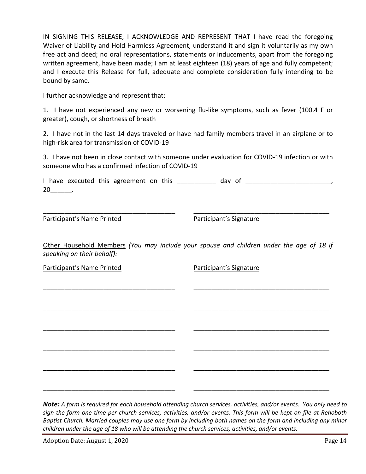IN SIGNING THIS RELEASE, I ACKNOWLEDGE AND REPRESENT THAT I have read the foregoing Waiver of Liability and Hold Harmless Agreement, understand it and sign it voluntarily as my own free act and deed; no oral representations, statements or inducements, apart from the foregoing written agreement, have been made; I am at least eighteen (18) years of age and fully competent; and I execute this Release for full, adequate and complete consideration fully intending to be bound by same.

I further acknowledge and represent that:

1. I have not experienced any new or worsening flu-like symptoms, such as fever (100.4 F or greater), cough, or shortness of breath

2. I have not in the last 14 days traveled or have had family members travel in an airplane or to high-risk area for transmission of COVID-19

3. I have not been in close contact with someone under evaluation for COVID-19 infection or with someone who has a confirmed infection of COVID-19

I have executed this agreement on this and the day of the second service of the second service of the second s 20\_\_\_\_\_\_.

\_\_\_\_\_\_\_\_\_\_\_\_\_\_\_\_\_\_\_\_\_\_\_\_\_\_\_\_\_\_\_\_\_\_\_\_\_ \_\_\_\_\_\_\_\_\_\_\_\_\_\_\_\_\_\_\_\_\_\_\_\_\_\_\_\_\_\_\_\_\_\_\_\_\_\_

Participant's Name Printed Participant's Signature

Other Household Members *(You may include your spouse and children under the age of 18 if speaking on their behalf):*

\_\_\_\_\_\_\_\_\_\_\_\_\_\_\_\_\_\_\_\_\_\_\_\_\_\_\_\_\_\_\_\_\_\_\_\_\_ \_\_\_\_\_\_\_\_\_\_\_\_\_\_\_\_\_\_\_\_\_\_\_\_\_\_\_\_\_\_\_\_\_\_\_\_\_\_

\_\_\_\_\_\_\_\_\_\_\_\_\_\_\_\_\_\_\_\_\_\_\_\_\_\_\_\_\_\_\_\_\_\_\_\_\_ \_\_\_\_\_\_\_\_\_\_\_\_\_\_\_\_\_\_\_\_\_\_\_\_\_\_\_\_\_\_\_\_\_\_\_\_\_\_

\_\_\_\_\_\_\_\_\_\_\_\_\_\_\_\_\_\_\_\_\_\_\_\_\_\_\_\_\_\_\_\_\_\_\_\_\_ \_\_\_\_\_\_\_\_\_\_\_\_\_\_\_\_\_\_\_\_\_\_\_\_\_\_\_\_\_\_\_\_\_\_\_\_\_\_

\_\_\_\_\_\_\_\_\_\_\_\_\_\_\_\_\_\_\_\_\_\_\_\_\_\_\_\_\_\_\_\_\_\_\_\_\_ \_\_\_\_\_\_\_\_\_\_\_\_\_\_\_\_\_\_\_\_\_\_\_\_\_\_\_\_\_\_\_\_\_\_\_\_\_\_

\_\_\_\_\_\_\_\_\_\_\_\_\_\_\_\_\_\_\_\_\_\_\_\_\_\_\_\_\_\_\_\_\_\_\_\_\_ \_\_\_\_\_\_\_\_\_\_\_\_\_\_\_\_\_\_\_\_\_\_\_\_\_\_\_\_\_\_\_\_\_\_\_\_\_\_

\_\_\_\_\_\_\_\_\_\_\_\_\_\_\_\_\_\_\_\_\_\_\_\_\_\_\_\_\_\_\_\_\_\_\_\_\_ \_\_\_\_\_\_\_\_\_\_\_\_\_\_\_\_\_\_\_\_\_\_\_\_\_\_\_\_\_\_\_\_\_\_\_\_\_\_

Participant's Name Printed Participant's Signature

*Note: A form is required for each household attending church services, activities, and/or events. You only need to sign the form one time per church services, activities, and/or events. This form will be kept on file at Rehoboth Baptist Church. Married couples may use one form by including both names on the form and including any minor children under the age of 18 who will be attending the church services, activities, and/or events.*

Adoption Date: August 1, 2020 **Page 14**